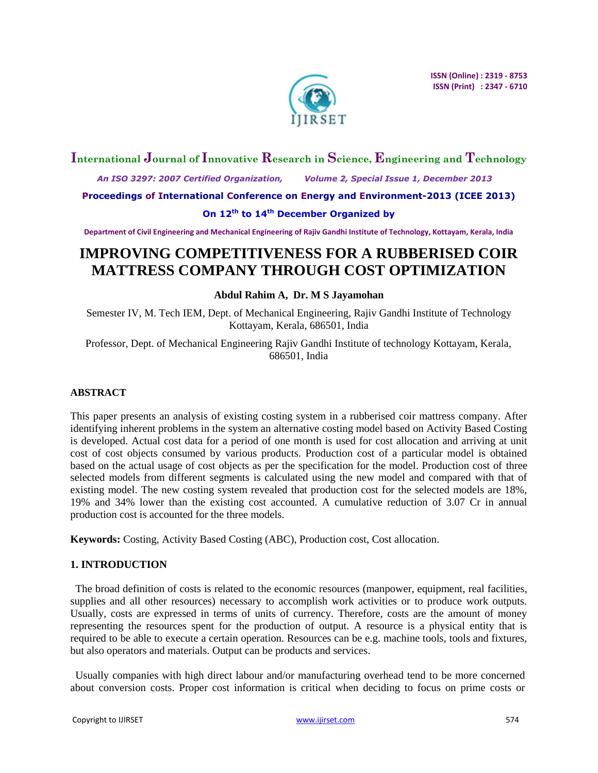

## **International Journal of Innovative Research in Science, Engineering and Technology**

 *An ISO 3297: 2007 Certified Organization, Volume 2, Special Issue 1, December 2013*

**Proceedings of International Conference on Energy and Environment-2013 (ICEE 2013)**

## **On 12th to 14th December Organized by**

**Department of Civil Engineering and Mechanical Engineering of Rajiv Gandhi Institute of Technology, Kottayam, Kerala, India**

# **IMPROVING COMPETITIVENESS FOR A RUBBERISED COIR MATTRESS COMPANY THROUGH COST OPTIMIZATION**

## **Abdul Rahim A, Dr. M S Jayamohan**

Semester IV, M. Tech IEM, Dept. of Mechanical Engineering, Rajiv Gandhi Institute of Technology Kottayam, Kerala, 686501, India

Professor, Dept. of Mechanical Engineering Rajiv Gandhi Institute of technology Kottayam, Kerala, 686501, India

#### **ABSTRACT**

This paper presents an analysis of existing costing system in a rubberised coir mattress company. After identifying inherent problems in the system an alternative costing model based on Activity Based Costing is developed. Actual cost data for a period of one month is used for cost allocation and arriving at unit cost of cost objects consumed by various products. Production cost of a particular model is obtained based on the actual usage of cost objects as per the specification for the model. Production cost of three selected models from different segments is calculated using the new model and compared with that of existing model. The new costing system revealed that production cost for the selected models are 18%, 19% and 34% lower than the existing cost accounted. A cumulative reduction of 3.07 Cr in annual production cost is accounted for the three models.

**Keywords:** Costing, Activity Based Costing (ABC), Production cost, Cost allocation.

#### **1. INTRODUCTION**

The broad definition of costs is related to the economic resources (manpower, equipment, real facilities, supplies and all other resources) necessary to accomplish work activities or to produce work outputs. Usually, costs are expressed in terms of units of currency. Therefore, costs are the amount of money representing the resources spent for the production of output. A resource is a physical entity that is required to be able to execute a certain operation. Resources can be e.g. machine tools, tools and fixtures, but also operators and materials. Output can be products and services.

Usually companies with high direct labour and/or manufacturing overhead tend to be more concerned about conversion costs. Proper cost information is critical when deciding to focus on prime costs or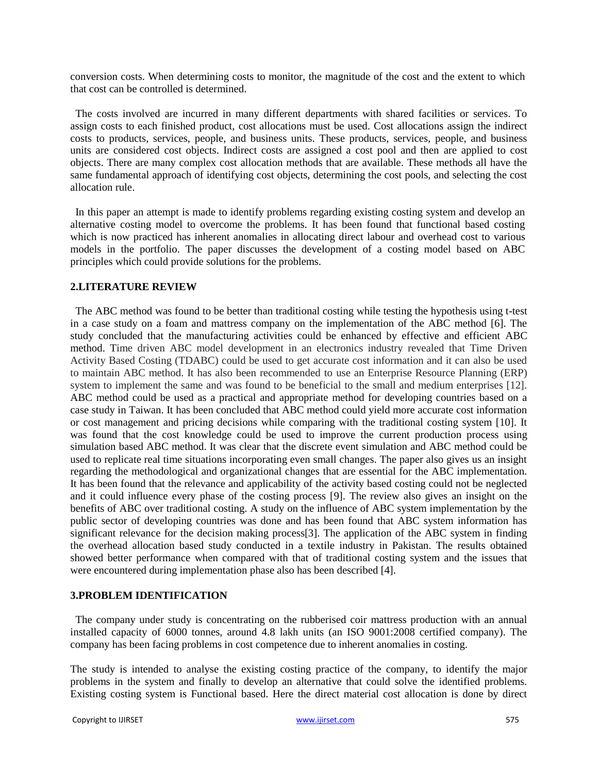conversion costs. When determining costs to monitor, the magnitude of the cost and the extent to which that cost can be controlled is determined.

The costs involved are incurred in many different departments with shared facilities or services. To assign costs to each finished product, cost allocations must be used. Cost allocations assign the indirect costs to products, services, people, and business units. These products, services, people, and business units are considered cost objects. Indirect costs are assigned a cost pool and then are applied to cost objects. There are many complex cost allocation methods that are available. These methods all have the same fundamental approach of identifying cost objects, determining the cost pools, and selecting the cost allocation rule.

In this paper an attempt is made to identify problems regarding existing costing system and develop an alternative costing model to overcome the problems. It has been found that functional based costing which is now practiced has inherent anomalies in allocating direct labour and overhead cost to various models in the portfolio. The paper discusses the development of a costing model based on ABC principles which could provide solutions for the problems.

#### **2.LITERATURE REVIEW**

The ABC method was found to be better than traditional costing while testing the hypothesis using t-test in a case study on a foam and mattress company on the implementation of the ABC method [6]. The study concluded that the manufacturing activities could be enhanced by effective and efficient ABC method. Time driven ABC model development in an electronics industry revealed that Time Driven Activity Based Costing (TDABC) could be used to get accurate cost information and it can also be used to maintain ABC method. It has also been recommended to use an Enterprise Resource Planning (ERP) system to implement the same and was found to be beneficial to the small and medium enterprises [12]. ABC method could be used as a practical and appropriate method for developing countries based on a case study in Taiwan. It has been concluded that ABC method could yield more accurate cost information or cost management and pricing decisions while comparing with the traditional costing system [10]. It was found that the cost knowledge could be used to improve the current production process using simulation based ABC method. It was clear that the discrete event simulation and ABC method could be used to replicate real time situations incorporating even small changes. The paper also gives us an insight regarding the methodological and organizational changes that are essential for the ABC implementation. It has been found that the relevance and applicability of the activity based costing could not be neglected and it could influence every phase of the costing process [9]. The review also gives an insight on the benefits of ABC over traditional costing. A study on the influence of ABC system implementation by the public sector of developing countries was done and has been found that ABC system information has significant relevance for the decision making process[3]. The application of the ABC system in finding the overhead allocation based study conducted in a textile industry in Pakistan. The results obtained showed better performance when compared with that of traditional costing system and the issues that were encountered during implementation phase also has been described [4].

#### **3.PROBLEM IDENTIFICATION**

The company under study is concentrating on the rubberised coir mattress production with an annual installed capacity of 6000 tonnes, around 4.8 lakh units (an ISO 9001:2008 certified company). The company has been facing problems in cost competence due to inherent anomalies in costing.

The study is intended to analyse the existing costing practice of the company, to identify the major problems in the system and finally to develop an alternative that could solve the identified problems. Existing costing system is Functional based. Here the direct material cost allocation is done by direct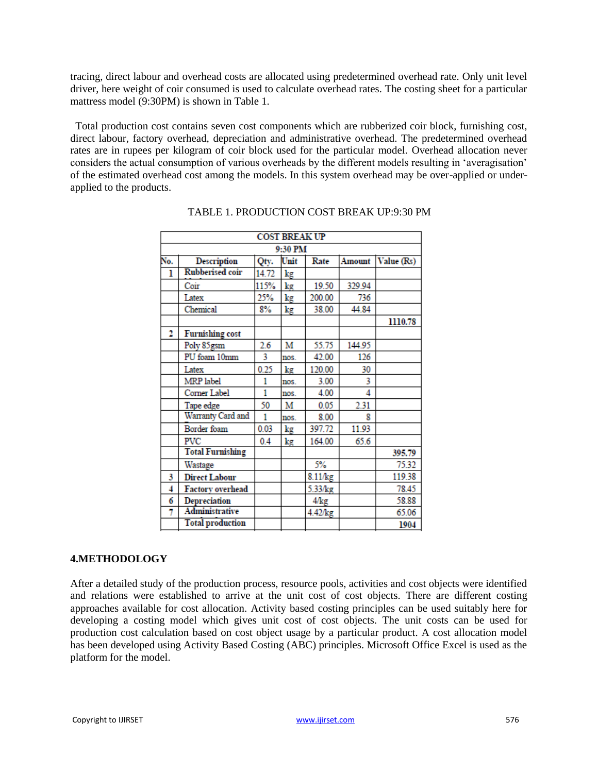tracing, direct labour and overhead costs are allocated using predetermined overhead rate. Only unit level driver, here weight of coir consumed is used to calculate overhead rates. The costing sheet for a particular mattress model (9:30PM) is shown in Table 1.

Total production cost contains seven cost components which are rubberized coir block, furnishing cost, direct labour, factory overhead, depreciation and administrative overhead. The predetermined overhead rates are in rupees per kilogram of coir block used for the particular model. Overhead allocation never considers the actual consumption of various overheads by the different models resulting in "averagisation" of the estimated overhead cost among the models. In this system overhead may be over-applied or underapplied to the products.

| <b>COST BREAK UP</b> |                         |       |               |               |               |            |  |
|----------------------|-------------------------|-------|---------------|---------------|---------------|------------|--|
| 9:30 PM              |                         |       |               |               |               |            |  |
| No.                  | <b>Description</b>      | Qty.  | Unit          | Rate          | <b>Amount</b> | Value (Rs) |  |
| ı                    | <b>Rubberised coir</b>  | 14.72 | kg            |               |               |            |  |
|                      | Coir                    | 115%  | kg            | 19.50         | 329.94        |            |  |
|                      | Latex                   | 25%   | $\mathrm{kg}$ | 200.00        | 736           |            |  |
|                      | Chemical                | 8%    | kg            | 38.00         | 44.84         |            |  |
|                      |                         |       |               |               |               | 1110.78    |  |
| 2                    | <b>Furnishing cost</b>  |       |               |               |               |            |  |
|                      | Poly 85gsm              | 2.6   | М             | 55.75         | 144.95        |            |  |
|                      | PU foam 10mm            | 3     | nos.          | 42.00         | 126           |            |  |
|                      | Latex                   | 0.25  | $\log$        | 120.00        | 30            |            |  |
|                      | MRP label               | 1     | nos.          | 3.00          | 3             |            |  |
|                      | Corner Label            | 1     | nos.          | 4.00          | 4             |            |  |
|                      | Tape edge               | 50    | м             | 0.05          | 2.31          |            |  |
|                      | Warranty Card and       | 1     | nos.          | 8.00          | g             |            |  |
|                      | Border foam             | 0.03  | kg            | 397.72        | 11.93         |            |  |
|                      | PVC                     | 0.4   | kg            | 164.00        | 65.6          |            |  |
|                      | <b>Total Furnishing</b> |       |               |               |               | 395.79     |  |
|                      | Wastage                 |       |               | 5%            |               | 75.32      |  |
| 3                    | <b>Direct Labour</b>    |       |               | 8.11/kg       |               | 119.38     |  |
| 4                    | <b>Factory overhead</b> |       |               | 5.33/kg       |               | 78.45      |  |
| 6                    | Depreciation            |       |               | $4/\text{kg}$ |               | 58.88      |  |
| 7                    | Administrative          |       |               | $4.42$ / $kg$ |               | 65.06      |  |
|                      | <b>Total production</b> |       |               |               |               | 1904       |  |

TABLE 1. PRODUCTION COST BREAK UP:9:30 PM

## **4.METHODOLOGY**

After a detailed study of the production process, resource pools, activities and cost objects were identified and relations were established to arrive at the unit cost of cost objects. There are different costing approaches available for cost allocation. Activity based costing principles can be used suitably here for developing a costing model which gives unit cost of cost objects. The unit costs can be used for production cost calculation based on cost object usage by a particular product. A cost allocation model has been developed using Activity Based Costing (ABC) principles. Microsoft Office Excel is used as the platform for the model.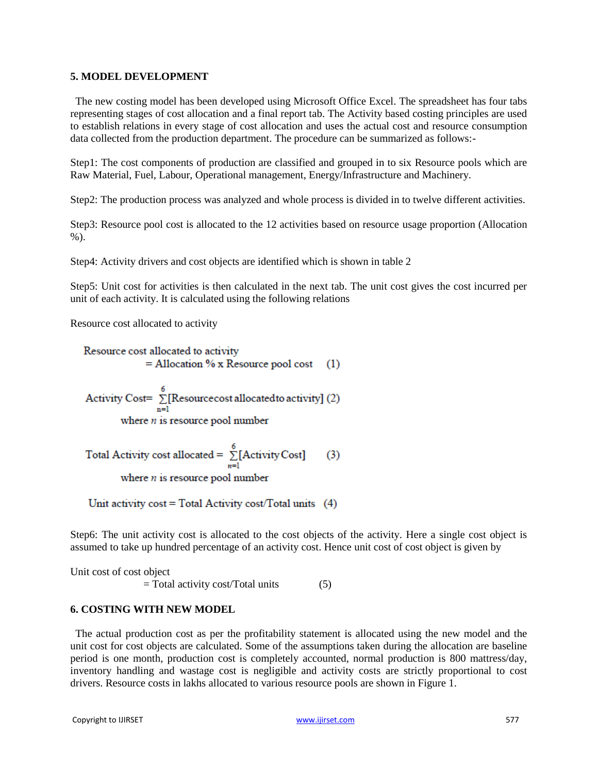#### **5. MODEL DEVELOPMENT**

The new costing model has been developed using Microsoft Office Excel. The spreadsheet has four tabs representing stages of cost allocation and a final report tab. The Activity based costing principles are used to establish relations in every stage of cost allocation and uses the actual cost and resource consumption data collected from the production department. The procedure can be summarized as follows:-

Step1: The cost components of production are classified and grouped in to six Resource pools which are Raw Material, Fuel, Labour, Operational management, Energy/Infrastructure and Machinery.

Step2: The production process was analyzed and whole process is divided in to twelve different activities.

Step3: Resource pool cost is allocated to the 12 activities based on resource usage proportion (Allocation %).

Step4: Activity drivers and cost objects are identified which is shown in table 2

Step5: Unit cost for activities is then calculated in the next tab. The unit cost gives the cost incurred per unit of each activity. It is calculated using the following relations

Resource cost allocated to activity

Resource cost allocated to activity  $=$  Allocation % x Resource pool cost (1)

Activity Cost= $\sum_{n=1}^{6}$ [Resource cost allocated to activity] (2) where  $n$  is resource pool number

Total Activity cost allocated = 
$$
\sum_{n=1}^{6} [Activity Cost]
$$
 (3)  
where *n* is resource pool number

Unit activity cost = Total Activity cost/Total units (4)

Step6: The unit activity cost is allocated to the cost objects of the activity. Here a single cost object is assumed to take up hundred percentage of an activity cost. Hence unit cost of cost object is given by

Unit cost of cost object

 $=$  Total activity cost/Total units  $(5)$ 

## **6. COSTING WITH NEW MODEL**

The actual production cost as per the profitability statement is allocated using the new model and the unit cost for cost objects are calculated. Some of the assumptions taken during the allocation are baseline period is one month, production cost is completely accounted, normal production is 800 mattress/day, inventory handling and wastage cost is negligible and activity costs are strictly proportional to cost drivers. Resource costs in lakhs allocated to various resource pools are shown in Figure 1.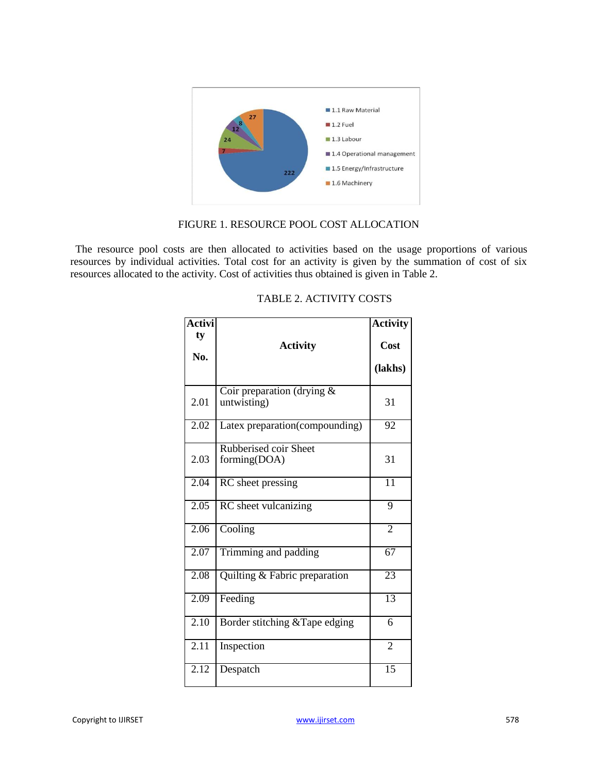

#### FIGURE 1. RESOURCE POOL COST ALLOCATION

The resource pool costs are then allocated to activities based on the usage proportions of various resources by individual activities. Total cost for an activity is given by the summation of cost of six resources allocated to the activity. Cost of activities thus obtained is given in Table 2.

| Activi    |                                             | <b>Activity</b> |
|-----------|---------------------------------------------|-----------------|
| ty<br>No. | <b>Activity</b>                             | Cost            |
|           |                                             | (lakhs)         |
| 2.01      | Coir preparation (drying $&$<br>untwisting) | 31              |
| 2.02      | Latex preparation(compounding)              | 92              |
| 2.03      | Rubberised coir Sheet<br>forming(DOA)       | 31              |
| 2.04      | RC sheet pressing                           | $\overline{11}$ |
| 2.05      | RC sheet vulcanizing                        | 9               |
| 2.06      | Cooling                                     | $\overline{2}$  |
| 2.07      | Trimming and padding                        | 67              |
| 2.08      | Quilting & Fabric preparation               | $\overline{23}$ |
| 2.09      | Feeding                                     | $\overline{13}$ |
| 2.10      | Border stitching & Tape edging              | 6               |
| 2.11      | Inspection                                  | $\overline{2}$  |
| 2.12      | Despatch                                    | $\overline{15}$ |

## TABLE 2. ACTIVITY COSTS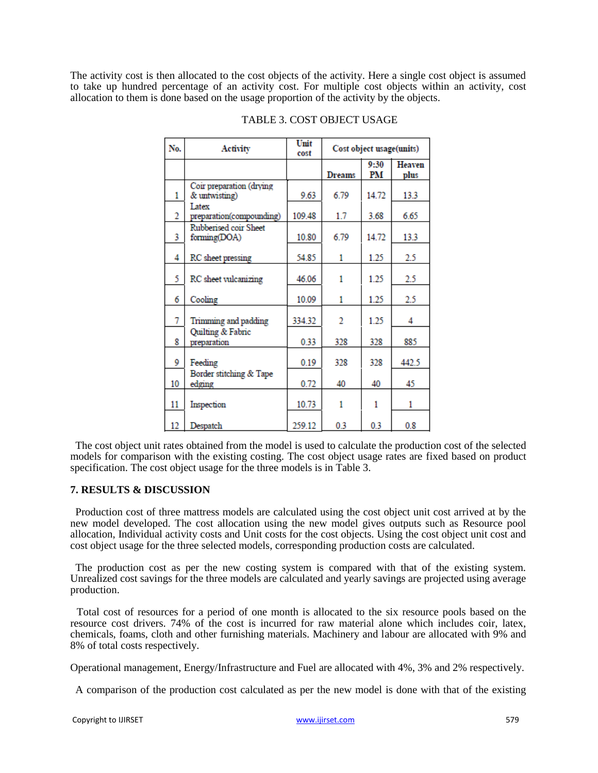The activity cost is then allocated to the cost objects of the activity. Here a single cost object is assumed to take up hundred percentage of an activity cost. For multiple cost objects within an activity, cost allocation to them is done based on the usage proportion of the activity by the objects.

 $\overline{1}$  and  $\overline{1}$ 

| No.            | Activity                                  | umu<br>cost | Cost object usage(units) |            |                       |
|----------------|-------------------------------------------|-------------|--------------------------|------------|-----------------------|
|                |                                           |             | Dreams                   | 9:30<br>PM | <b>Heaven</b><br>plus |
| 1              | Coir preparation (drying<br>& untwisting) | 9.63        | 6.79                     | 14.72      | 13.3                  |
| $\overline{2}$ | Latex<br>preparation(compounding)         | 109.48      | 1.7                      | 3.68       | 6.65                  |
| 3              | Rubberised coir Sheet<br>forming(DOA)     | 10.80       | 6.79                     | 14.72      | 13.3                  |
| 4              | RC sheet pressing                         | 54.85       | 1                        | 1.25       | 2.5                   |
| 5              | RC sheet vulcanizing                      | 46.06       | 1                        | 1.25       | 2.5                   |
| 6              | Cooling                                   | 10.09       | 1                        | 1.25       | 2.5                   |
| 7              | Trimming and padding                      | 334.32      | 2                        | 1.25       | 4                     |
| 8              | Quilting & Fabric<br>preparation          | 0.33        | 328                      | 328        | 885                   |
| 9              | Feeding                                   | 0.19        | 328                      | 328        | 442.5                 |
| 10             | Border stitching & Tape<br>edging         | 0.72        | 40                       | 40         | 45                    |
| 11             | Inspection                                | 10.73       |                          |            | 1                     |
| 12             | Despatch                                  | 259.12      | 0.3                      | 0.3        | 0.8                   |

#### TABLE 3. COST OBJECT USAGE

The cost object unit rates obtained from the model is used to calculate the production cost of the selected models for comparison with the existing costing. The cost object usage rates are fixed based on product specification. The cost object usage for the three models is in Table 3.

#### **7. RESULTS & DISCUSSION**

Production cost of three mattress models are calculated using the cost object unit cost arrived at by the new model developed. The cost allocation using the new model gives outputs such as Resource pool allocation, Individual activity costs and Unit costs for the cost objects. Using the cost object unit cost and cost object usage for the three selected models, corresponding production costs are calculated.

The production cost as per the new costing system is compared with that of the existing system. Unrealized cost savings for the three models are calculated and yearly savings are projected using average production.

Total cost of resources for a period of one month is allocated to the six resource pools based on the resource cost drivers. 74% of the cost is incurred for raw material alone which includes coir, latex, chemicals, foams, cloth and other furnishing materials. Machinery and labour are allocated with 9% and 8% of total costs respectively.

Operational management, Energy/Infrastructure and Fuel are allocated with 4%, 3% and 2% respectively.

A comparison of the production cost calculated as per the new model is done with that of the existing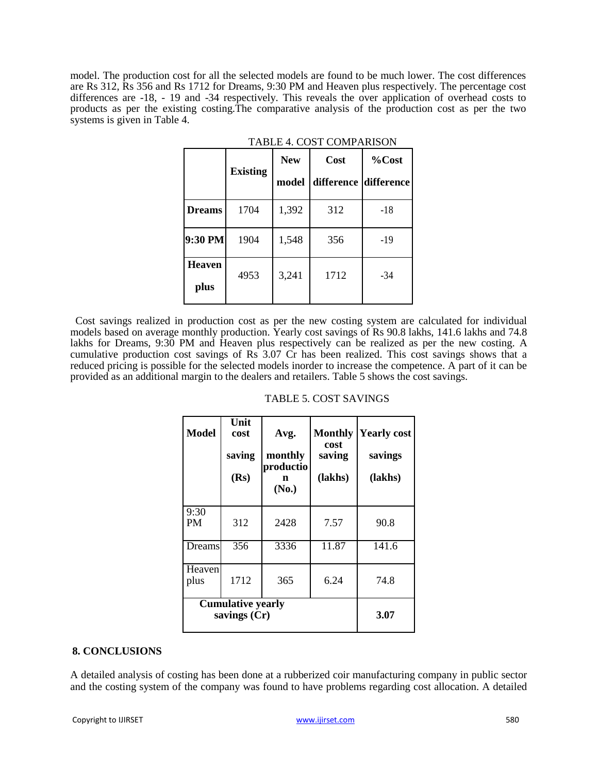model. The production cost for all the selected models are found to be much lower. The cost differences are Rs 312, Rs 356 and Rs 1712 for Dreams, 9:30 PM and Heaven plus respectively. The percentage cost differences are -18, - 19 and -34 respectively. This reveals the over application of overhead costs to products as per the existing costing.The comparative analysis of the production cost as per the two systems is given in Table 4.

|                       | <b>Existing</b> | <b>New</b> | Cost       | %Cost      |
|-----------------------|-----------------|------------|------------|------------|
|                       |                 | model      | difference | difference |
| <b>Dreams</b>         | 1704            | 1,392      | 312        | $-18$      |
| 9:30 PM               | 1904            | 1,548      | 356        | -19        |
| <b>Heaven</b><br>plus | 4953            | 3,241      | 1712       | $-34$      |

|  |  | TABLE 4. COST COMPARISON |
|--|--|--------------------------|
|--|--|--------------------------|

Cost savings realized in production cost as per the new costing system are calculated for individual models based on average monthly production. Yearly cost savings of Rs 90.8 lakhs, 141.6 lakhs and 74.8 lakhs for Dreams, 9:30 PM and Heaven plus respectively can be realized as per the new costing. A cumulative production cost savings of Rs 3.07 Cr has been realized. This cost savings shows that a reduced pricing is possible for the selected models inorder to increase the competence. A part of it can be provided as an additional margin to the dealers and retailers. Table 5 shows the cost savings.

| <b>Model</b>                               | Unit<br>cost<br>saving<br>(Rs) | Avg.<br>monthly<br>productio<br>n<br>(No.) | <b>Monthly</b><br>cost<br>saving<br>(lakhs) | <b>Yearly cost</b><br>savings<br>(lakhs) |
|--------------------------------------------|--------------------------------|--------------------------------------------|---------------------------------------------|------------------------------------------|
| 9:30<br><b>PM</b>                          | 312                            | 2428                                       | 7.57                                        | 90.8                                     |
| Dreams                                     | 356                            | 3336                                       | 11.87                                       | 141.6                                    |
| Heaven<br>plus                             | 1712                           | 365                                        | 6.24                                        | 74.8                                     |
| <b>Cumulative yearly</b><br>savings $(Cr)$ | 3.07                           |                                            |                                             |                                          |

#### TABLE 5. COST SAVINGS

#### **8. CONCLUSIONS**

A detailed analysis of costing has been done at a rubberized coir manufacturing company in public sector and the costing system of the company was found to have problems regarding cost allocation. A detailed